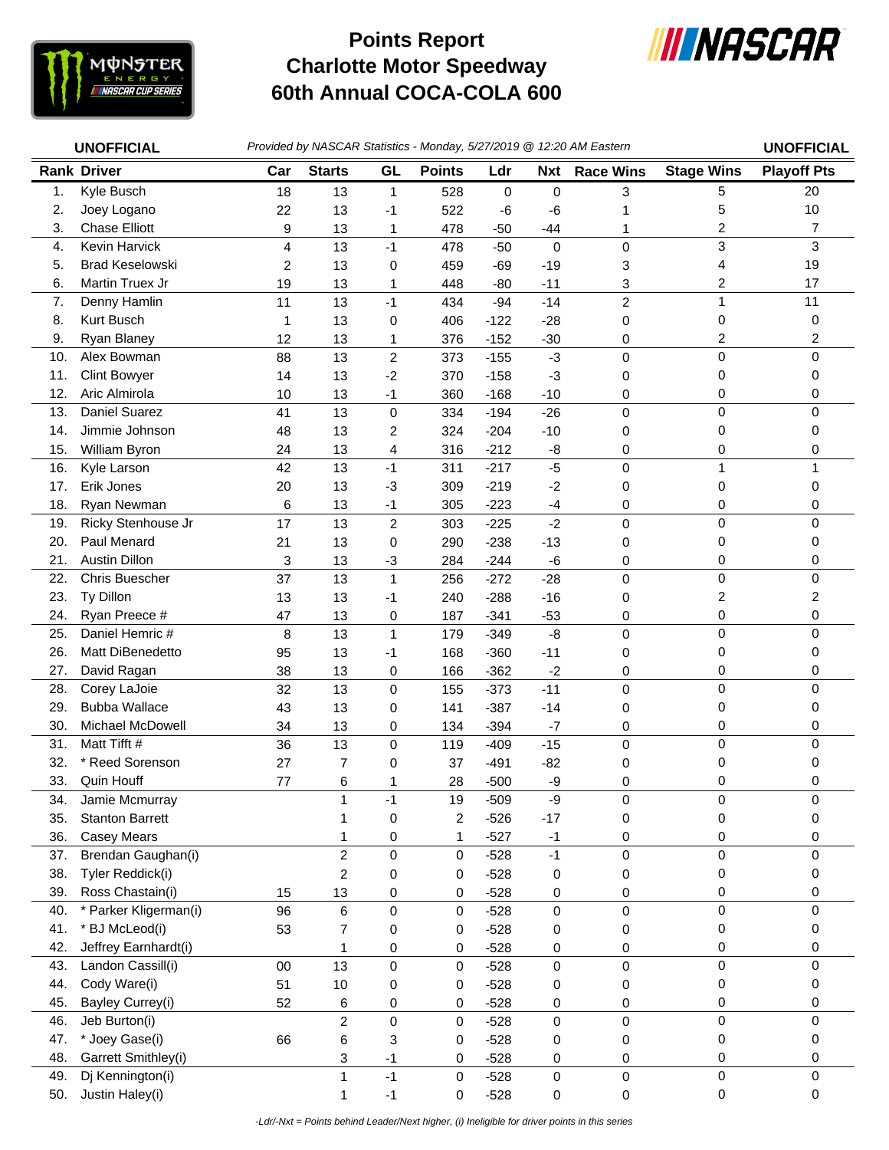

## **Charlotte Motor Speedway 60th Annual COCA-COLA 600 Points Report**



|     | <b>UNOFFICIAL</b>      |        |                |                |               |        |             | Provided by NASCAR Statistics - Monday, 5/27/2019 @ 12:20 AM Eastern |                         | <b>UNOFFICIAL</b>  |
|-----|------------------------|--------|----------------|----------------|---------------|--------|-------------|----------------------------------------------------------------------|-------------------------|--------------------|
|     | <b>Rank Driver</b>     | Car    | <b>Starts</b>  | GL             | <b>Points</b> | Ldr    | <b>Nxt</b>  | <b>Race Wins</b>                                                     | <b>Stage Wins</b>       | <b>Playoff Pts</b> |
| 1.  | Kyle Busch             | 18     | 13             | $\mathbf 1$    | 528           | 0      | 0           | 3                                                                    | 5                       | 20                 |
| 2.  | Joey Logano            | 22     | 13             | $-1$           | 522           | -6     | -6          | 1                                                                    | 5                       | 10                 |
| 3.  | <b>Chase Elliott</b>   | 9      | 13             | $\mathbf{1}$   | 478           | $-50$  | $-44$       | 1                                                                    | 2                       | 7                  |
| 4.  | Kevin Harvick          | 4      | 13             | $-1$           | 478           | $-50$  | $\mathbf 0$ | 0                                                                    | 3                       | 3                  |
| 5.  | <b>Brad Keselowski</b> | 2      | 13             | 0              | 459           | $-69$  | $-19$       | 3                                                                    | 4                       | 19                 |
| 6.  | Martin Truex Jr        | 19     | 13             | 1              | 448           | $-80$  | $-11$       | 3                                                                    | $\overline{\mathbf{c}}$ | 17                 |
| 7.  | Denny Hamlin           | 11     | 13             | $-1$           | 434           | $-94$  | $-14$       | $\overline{c}$                                                       | 1                       | 11                 |
| 8.  | Kurt Busch             | 1      | 13             | 0              | 406           | $-122$ | $-28$       | 0                                                                    | 0                       | 0                  |
| 9.  | Ryan Blaney            | 12     | 13             | 1              | 376           | $-152$ | $-30$       | 0                                                                    | 2                       | 2                  |
| 10. | Alex Bowman            | 88     | 13             | $\overline{c}$ | 373           | $-155$ | $-3$        | 0                                                                    | 0                       | 0                  |
| 11. | <b>Clint Bowyer</b>    | 14     | 13             | $-2$           | 370           | $-158$ | $-3$        | 0                                                                    | 0                       | 0                  |
| 12. | Aric Almirola          | 10     | 13             | $-1$           | 360           | $-168$ | $-10$       | 0                                                                    | 0                       | 0                  |
| 13. | <b>Daniel Suarez</b>   | 41     | 13             | $\mathbf 0$    | 334           | $-194$ | $-26$       | $\mathbf 0$                                                          | 0                       | 0                  |
| 14. | Jimmie Johnson         | 48     | 13             | 2              | 324           | $-204$ | $-10$       | 0                                                                    | 0                       | 0                  |
| 15. | William Byron          | 24     | 13             | 4              | 316           | $-212$ | -8          | 0                                                                    | 0                       | 0                  |
| 16. | Kyle Larson            | 42     | 13             | $-1$           | 311           | $-217$ | $-5$        | 0                                                                    | 1                       | 1                  |
| 17. | Erik Jones             | 20     | 13             | $-3$           | 309           | $-219$ | $-2$        | 0                                                                    | 0                       | 0                  |
| 18. | Ryan Newman            | 6      | 13             | $-1$           | 305           | $-223$ | $-4$        | 0                                                                    | 0                       | 0                  |
| 19. | Ricky Stenhouse Jr     | 17     | 13             | $\overline{c}$ | 303           | $-225$ | $-2$        | $\mathbf 0$                                                          | 0                       | 0                  |
| 20. | Paul Menard            | 21     | 13             | 0              | 290           | $-238$ | $-13$       | 0                                                                    | 0                       | 0                  |
| 21. | <b>Austin Dillon</b>   | 3      | 13             | $-3$           | 284           | $-244$ | -6          | 0                                                                    | 0                       | 0                  |
| 22. | Chris Buescher         | 37     | 13             | $\mathbf{1}$   | 256           | $-272$ | $-28$       | 0                                                                    | 0                       | 0                  |
| 23. | Ty Dillon              | 13     | 13             | $-1$           | 240           | $-288$ | $-16$       | 0                                                                    | $\overline{c}$          | 2                  |
| 24. | Ryan Preece #          | 47     | 13             | 0              | 187           | $-341$ | $-53$       | 0                                                                    | 0                       | 0                  |
| 25. | Daniel Hemric #        | 8      | 13             | $\mathbf{1}$   | 179           | $-349$ | $-8$        | 0                                                                    | 0                       | 0                  |
| 26. | Matt DiBenedetto       | 95     | 13             | $-1$           | 168           | $-360$ | $-11$       | 0                                                                    | 0                       | 0                  |
| 27. | David Ragan            | 38     | 13             | 0              | 166           | $-362$ | $-2$        | 0                                                                    | 0                       | 0                  |
| 28. | Corey LaJoie           | 32     | 13             | 0              | 155           | $-373$ | $-11$       | 0                                                                    | 0                       | 0                  |
| 29. | <b>Bubba Wallace</b>   | 43     | 13             | 0              | 141           | $-387$ | $-14$       | 0                                                                    | 0                       | 0                  |
| 30. | Michael McDowell       | 34     | 13             | 0              | 134           | $-394$ | $-7$        | 0                                                                    | 0                       | 0                  |
| 31. | Matt Tifft #           | 36     | 13             | 0              | 119           | $-409$ | $-15$       | $\mathbf 0$                                                          | 0                       | 0                  |
| 32. | * Reed Sorenson        | 27     | 7              | 0              | 37            | $-491$ | $-82$       | 0                                                                    | 0                       | 0                  |
| 33. | Quin Houff             | 77     | 6              | 1              | 28            | $-500$ | -9          | 0                                                                    | 0                       | 0                  |
| 34. | Jamie Mcmurray         |        | 1              | $-1$           | 19            | $-509$ | $-9$        | 0                                                                    | $\pmb{0}$               | 0                  |
| 35. | <b>Stanton Barrett</b> |        | 1              | 0              | 2             | $-526$ | $-17$       | 0                                                                    | 0                       | 0                  |
| 36. | <b>Casey Mears</b>     |        | 1              | 0              | 1             | $-527$ | $-1$        | 0                                                                    | 0                       | 0                  |
| 37. | Brendan Gaughan(i)     |        | $\overline{c}$ | 0              | 0             | $-528$ | $-1$        | 0                                                                    | $\pmb{0}$               | 0                  |
| 38. | Tyler Reddick(i)       |        | $\overline{c}$ | 0              | 0             | $-528$ | 0           | 0                                                                    | 0                       | 0                  |
| 39. | Ross Chastain(i)       | 15     | 13             | 0              | 0             | $-528$ | 0           | 0                                                                    | 0                       | 0                  |
| 40. | * Parker Kligerman(i)  | 96     | 6              | 0              | 0             | $-528$ | 0           | $\mathsf 0$                                                          | 0                       | 0                  |
| 41. | <b>BJ</b> McLeod(i)    | 53     | 7              | 0              | 0             | $-528$ | 0           | 0                                                                    | 0                       | 0                  |
| 42. | Jeffrey Earnhardt(i)   |        | 1              | 0              | 0             | $-528$ | 0           | 0                                                                    | 0                       | 0                  |
| 43. | Landon Cassill(i)      | $00\,$ | 13             | $\mathsf 0$    | 0             | $-528$ | 0           | $\mathsf 0$                                                          | $\pmb{0}$               | 0                  |
| 44. | Cody Ware(i)           | 51     | 10             | 0              | 0             | $-528$ | 0           | 0                                                                    | 0                       | 0                  |
| 45. | Bayley Currey(i)       | 52     | 6              | 0              | 0             | $-528$ | 0           | 0                                                                    | $\pmb{0}$               | 0                  |
| 46. | Jeb Burton(i)          |        | $\overline{c}$ | 0              | 0             | $-528$ | 0           | $\mathsf 0$                                                          | $\pmb{0}$               | 0                  |
| 47. | * Joey Gase(i)         | 66     | 6              | 3              | 0             | $-528$ | 0           | 0                                                                    | 0                       | 0                  |
| 48. | Garrett Smithley(i)    |        | 3              | $-1$           | 0             | $-528$ | 0           | 0                                                                    | 0                       | 0                  |
| 49. | Dj Kennington(i)       |        | $\mathbf{1}$   | $-1$           | 0             | $-528$ | 0           | $\mathsf 0$                                                          | $\pmb{0}$               | 0                  |
| 50. | Justin Haley(i)        |        | 1              | $-1$           | 0             | $-528$ | 0           | 0                                                                    | $\mathsf 0$             | 0                  |